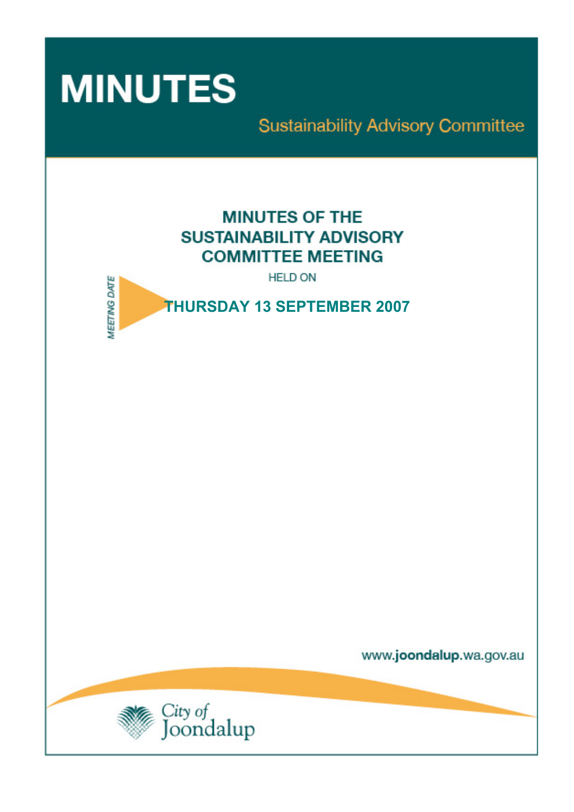

**Sustainability Advisory Committee** 

# **MINUTES OF THE SUSTAINABILITY ADVISORY COMMITTEE MEETING**

**HELD ON** 



www.joondalup.wa.gov.au

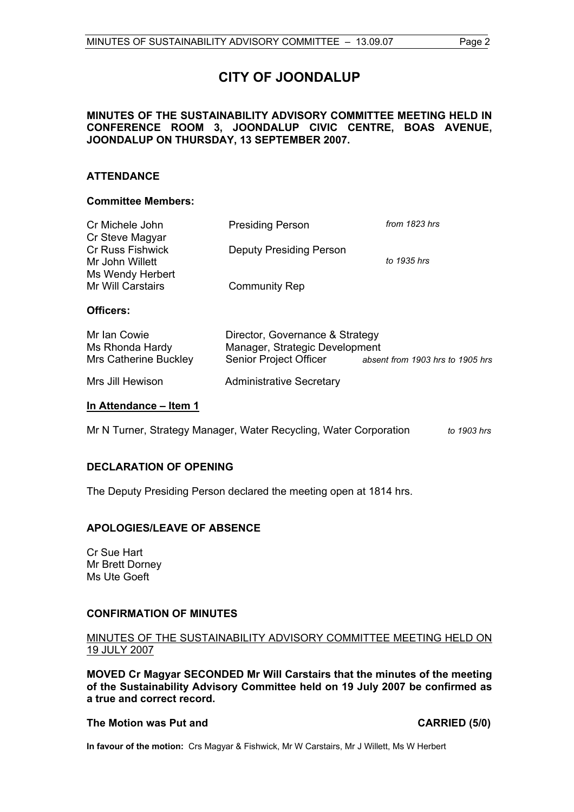# **CITY OF JOONDALUP**

# **MINUTES OF THE SUSTAINABILITY ADVISORY COMMITTEE MEETING HELD IN CONFERENCE ROOM 3, JOONDALUP CIVIC CENTRE, BOAS AVENUE, JOONDALUP ON THURSDAY, 13 SEPTEMBER 2007.**

# **ATTENDANCE**

# **Committee Members:**

| Cr Michele John<br>Cr Steve Magyar<br><b>Cr Russ Fishwick</b><br>Mr John Willett | <b>Presiding Person</b>        | from 1823 hrs |
|----------------------------------------------------------------------------------|--------------------------------|---------------|
|                                                                                  | <b>Deputy Presiding Person</b> | to 1935 hrs   |
| Ms Wendy Herbert<br><b>Mr Will Carstairs</b>                                     | <b>Community Rep</b>           |               |
| Officers:                                                                        |                                |               |
|                                                                                  |                                |               |

Mrs Jill Hewison **Administrative Secretary** 

## **In Attendance – Item 1**

Mr N Turner, Strategy Manager, Water Recycling, Water Corporation *to 1903 hrs*

# **DECLARATION OF OPENING**

The Deputy Presiding Person declared the meeting open at 1814 hrs.

# **APOLOGIES/LEAVE OF ABSENCE**

Cr Sue Hart Mr Brett Dorney Ms Ute Goeft

#### **CONFIRMATION OF MINUTES**

# MINUTES OF THE SUSTAINABILITY ADVISORY COMMITTEE MEETING HELD ON 19 JULY 2007

**MOVED Cr Magyar SECONDED Mr Will Carstairs that the minutes of the meeting of the Sustainability Advisory Committee held on 19 July 2007 be confirmed as a true and correct record.** 

#### **The Motion was Put and CARRIED (5/0)**

**In favour of the motion:** Crs Magyar & Fishwick, Mr W Carstairs, Mr J Willett, Ms W Herbert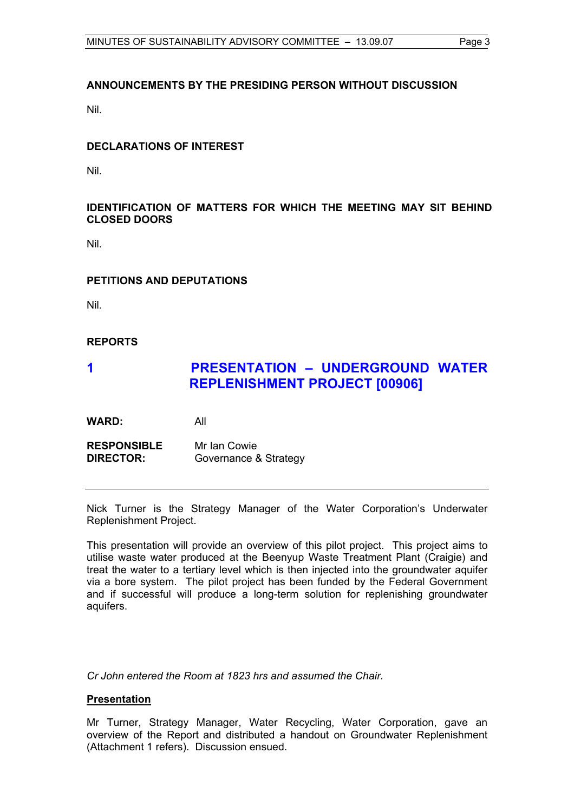# **ANNOUNCEMENTS BY THE PRESIDING PERSON WITHOUT DISCUSSION**

Nil.

# **DECLARATIONS OF INTEREST**

Nil.

# **IDENTIFICATION OF MATTERS FOR WHICH THE MEETING MAY SIT BEHIND CLOSED DOORS**

Nil.

# **PETITIONS AND DEPUTATIONS**

Nil.

# **REPORTS**

# **1 PRESENTATION – UNDERGROUND WATER REPLENISHMENT PROJECT [00906]**

**WARD:** All

**RESPONSIBLE** Mr Ian Cowie **DIRECTOR:** Governance & Strategy

Nick Turner is the Strategy Manager of the Water Corporation's Underwater Replenishment Project.

This presentation will provide an overview of this pilot project. This project aims to utilise waste water produced at the Beenyup Waste Treatment Plant (Craigie) and treat the water to a tertiary level which is then injected into the groundwater aquifer via a bore system. The pilot project has been funded by the Federal Government and if successful will produce a long-term solution for replenishing groundwater aquifers.

*Cr John entered the Room at 1823 hrs and assumed the Chair.*

# **Presentation**

Mr Turner, Strategy Manager, Water Recycling, Water Corporation, gave an overview of the Report and distributed a handout on Groundwater Replenishment (Attachment 1 refers). Discussion ensued.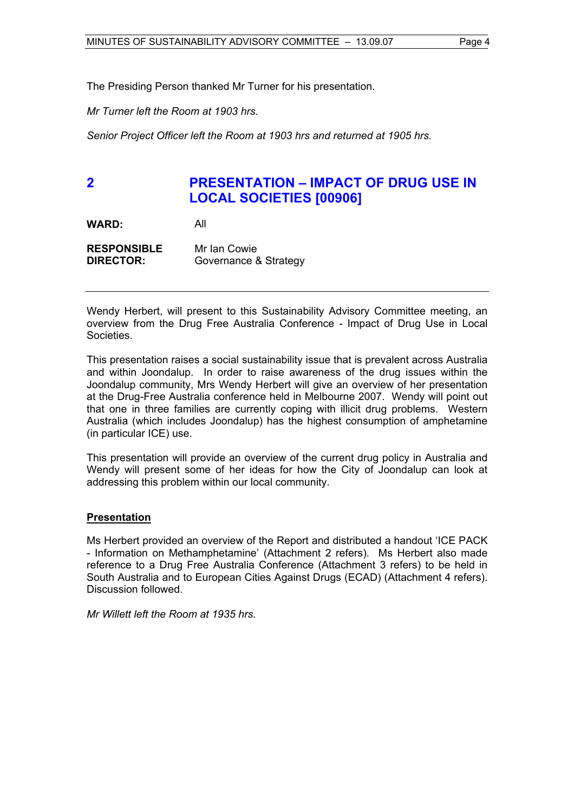The Presiding Person thanked Mr Turner for his presentation.

*Mr Turner left the Room at 1903 hrs.* 

*Senior Project Officer left the Room at 1903 hrs and returned at 1905 hrs.* 

# **2 PRESENTATION – IMPACT OF DRUG USE IN LOCAL SOCIETIES [00906]**

**WARD:** All

**RESPONSIBLE** Mr Ian Cowie **DIRECTOR:** Governance & Strategy

Wendy Herbert, will present to this Sustainability Advisory Committee meeting, an overview from the Drug Free Australia Conference - Impact of Drug Use in Local Societies.

This presentation raises a social sustainability issue that is prevalent across Australia and within Joondalup. In order to raise awareness of the drug issues within the Joondalup community, Mrs Wendy Herbert will give an overview of her presentation at the Drug-Free Australia conference held in Melbourne 2007. Wendy will point out that one in three families are currently coping with illicit drug problems. Western Australia (which includes Joondalup) has the highest consumption of amphetamine (in particular ICE) use.

This presentation will provide an overview of the current drug policy in Australia and Wendy will present some of her ideas for how the City of Joondalup can look at addressing this problem within our local community.

# **Presentation**

Ms Herbert provided an overview of the Report and distributed a handout 'ICE PACK - Information on Methamphetamine' (Attachment 2 refers). Ms Herbert also made reference to a Drug Free Australia Conference (Attachment 3 refers) to be held in South Australia and to European Cities Against Drugs (ECAD) (Attachment 4 refers). Discussion followed.

*Mr Willett left the Room at 1935 hrs.*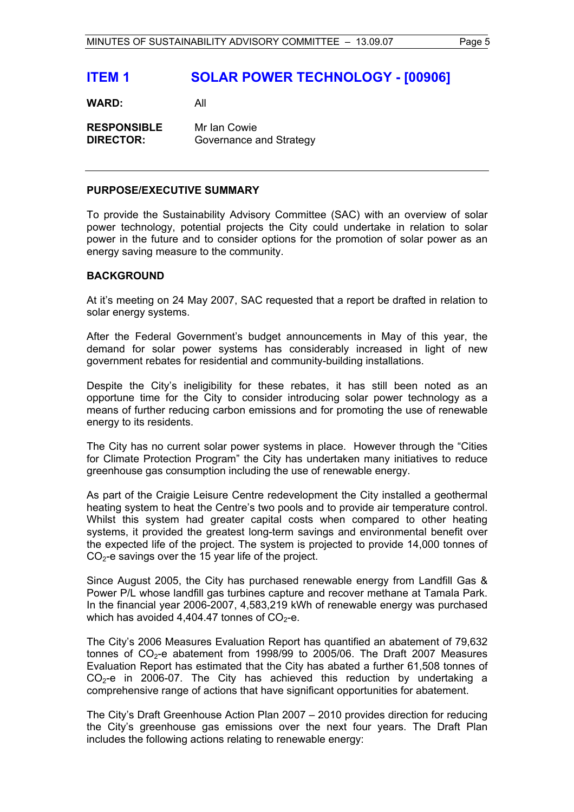# **ITEM 1 SOLAR POWER TECHNOLOGY - [00906]**

**WARD:** All

**RESPONSIBLE** Mr Ian Cowie **DIRECTOR:** Governance and Strategy

#### **PURPOSE/EXECUTIVE SUMMARY**

To provide the Sustainability Advisory Committee (SAC) with an overview of solar power technology, potential projects the City could undertake in relation to solar power in the future and to consider options for the promotion of solar power as an energy saving measure to the community.

# **BACKGROUND**

At it's meeting on 24 May 2007, SAC requested that a report be drafted in relation to solar energy systems.

After the Federal Government's budget announcements in May of this year, the demand for solar power systems has considerably increased in light of new government rebates for residential and community-building installations.

Despite the City's ineligibility for these rebates, it has still been noted as an opportune time for the City to consider introducing solar power technology as a means of further reducing carbon emissions and for promoting the use of renewable energy to its residents.

The City has no current solar power systems in place. However through the "Cities for Climate Protection Program" the City has undertaken many initiatives to reduce greenhouse gas consumption including the use of renewable energy.

As part of the Craigie Leisure Centre redevelopment the City installed a geothermal heating system to heat the Centre's two pools and to provide air temperature control. Whilst this system had greater capital costs when compared to other heating systems, it provided the greatest long-term savings and environmental benefit over the expected life of the project. The system is projected to provide 14,000 tonnes of  $CO<sub>2</sub>$ -e savings over the 15 year life of the project.

Since August 2005, the City has purchased renewable energy from Landfill Gas & Power P/L whose landfill gas turbines capture and recover methane at Tamala Park. In the financial year 2006-2007, 4,583,219 kWh of renewable energy was purchased which has avoided 4,404.47 tonnes of  $CO<sub>2</sub>$ -e.

The City's 2006 Measures Evaluation Report has quantified an abatement of 79,632 tonnes of  $CO<sub>2</sub>$ -e abatement from 1998/99 to 2005/06. The Draft 2007 Measures Evaluation Report has estimated that the City has abated a further 61,508 tonnes of  $CO<sub>2</sub>$ -e in 2006-07. The City has achieved this reduction by undertaking a comprehensive range of actions that have significant opportunities for abatement.

The City's Draft Greenhouse Action Plan 2007 – 2010 provides direction for reducing the City's greenhouse gas emissions over the next four years. The Draft Plan includes the following actions relating to renewable energy: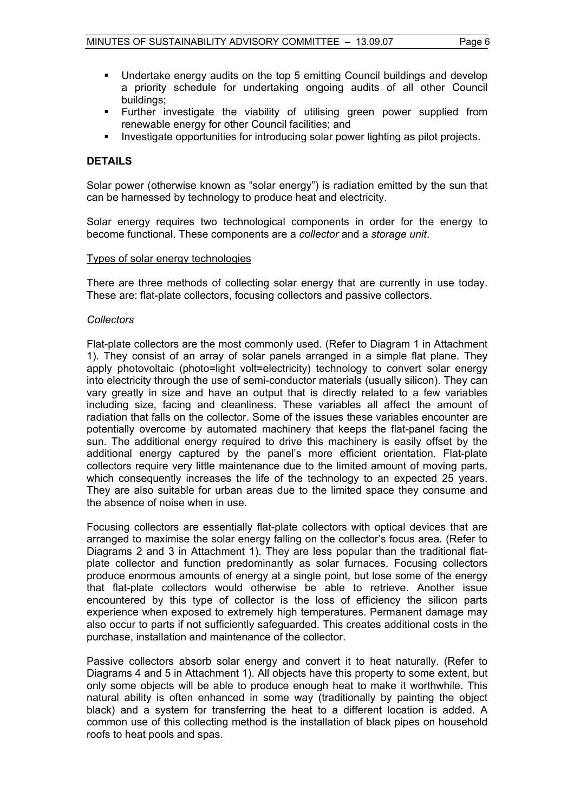- Undertake energy audits on the top 5 emitting Council buildings and develop a priority schedule for undertaking ongoing audits of all other Council buildings;
- Further investigate the viability of utilising green power supplied from renewable energy for other Council facilities; and
- Investigate opportunities for introducing solar power lighting as pilot projects.

# **DETAILS**

Solar power (otherwise known as "solar energy") is radiation emitted by the sun that can be harnessed by technology to produce heat and electricity.

Solar energy requires two technological components in order for the energy to become functional. These components are a *collector* and a *storage unit*.

#### Types of solar energy technologies

There are three methods of collecting solar energy that are currently in use today. These are: flat-plate collectors, focusing collectors and passive collectors.

#### *Collectors*

Flat-plate collectors are the most commonly used. (Refer to Diagram 1 in Attachment 1). They consist of an array of solar panels arranged in a simple flat plane. They apply photovoltaic (photo=light volt=electricity) technology to convert solar energy into electricity through the use of semi-conductor materials (usually silicon). They can vary greatly in size and have an output that is directly related to a few variables including size, facing and cleanliness. These variables all affect the amount of radiation that falls on the collector. Some of the issues these variables encounter are potentially overcome by automated machinery that keeps the flat-panel facing the sun. The additional energy required to drive this machinery is easily offset by the additional energy captured by the panel's more efficient orientation. Flat-plate collectors require very little maintenance due to the limited amount of moving parts, which consequently increases the life of the technology to an expected 25 years. They are also suitable for urban areas due to the limited space they consume and the absence of noise when in use.

Focusing collectors are essentially flat-plate collectors with optical devices that are arranged to maximise the solar energy falling on the collector's focus area. (Refer to Diagrams 2 and 3 in Attachment 1). They are less popular than the traditional flatplate collector and function predominantly as solar furnaces. Focusing collectors produce enormous amounts of energy at a single point, but lose some of the energy that flat-plate collectors would otherwise be able to retrieve. Another issue encountered by this type of collector is the loss of efficiency the silicon parts experience when exposed to extremely high temperatures. Permanent damage may also occur to parts if not sufficiently safeguarded. This creates additional costs in the purchase, installation and maintenance of the collector.

Passive collectors absorb solar energy and convert it to heat naturally. (Refer to Diagrams 4 and 5 in Attachment 1). All objects have this property to some extent, but only some objects will be able to produce enough heat to make it worthwhile. This natural ability is often enhanced in some way (traditionally by painting the object black) and a system for transferring the heat to a different location is added. A common use of this collecting method is the installation of black pipes on household roofs to heat pools and spas.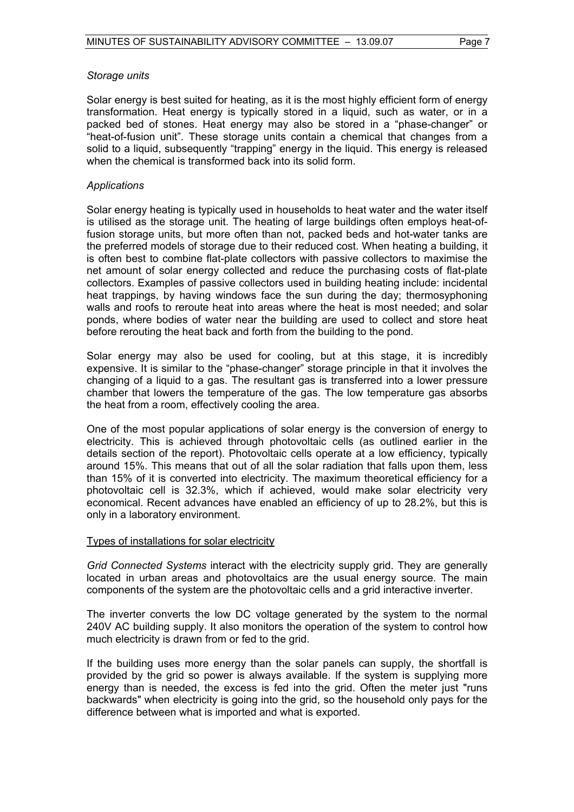#### *Storage units*

Solar energy is best suited for heating, as it is the most highly efficient form of energy transformation. Heat energy is typically stored in a liquid, such as water, or in a packed bed of stones. Heat energy may also be stored in a "phase-changer" or "heat-of-fusion unit". These storage units contain a chemical that changes from a solid to a liquid, subsequently "trapping" energy in the liquid. This energy is released when the chemical is transformed back into its solid form.

# *Applications*

Solar energy heating is typically used in households to heat water and the water itself is utilised as the storage unit. The heating of large buildings often employs heat-offusion storage units, but more often than not, packed beds and hot-water tanks are the preferred models of storage due to their reduced cost. When heating a building, it is often best to combine flat-plate collectors with passive collectors to maximise the net amount of solar energy collected and reduce the purchasing costs of flat-plate collectors. Examples of passive collectors used in building heating include: incidental heat trappings, by having windows face the sun during the day; thermosyphoning walls and roofs to reroute heat into areas where the heat is most needed; and solar ponds, where bodies of water near the building are used to collect and store heat before rerouting the heat back and forth from the building to the pond.

Solar energy may also be used for cooling, but at this stage, it is incredibly expensive. It is similar to the "phase-changer" storage principle in that it involves the changing of a liquid to a gas. The resultant gas is transferred into a lower pressure chamber that lowers the temperature of the gas. The low temperature gas absorbs the heat from a room, effectively cooling the area.

One of the most popular applications of solar energy is the conversion of energy to electricity. This is achieved through photovoltaic cells (as outlined earlier in the details section of the report). Photovoltaic cells operate at a low efficiency, typically around 15%. This means that out of all the solar radiation that falls upon them, less than 15% of it is converted into electricity. The maximum theoretical efficiency for a photovoltaic cell is 32.3%, which if achieved, would make solar electricity very economical. Recent advances have enabled an efficiency of up to 28.2%, but this is only in a laboratory environment.

#### Types of installations for solar electricity

*Grid Connected Systems* interact with the electricity supply grid. They are generally located in urban areas and photovoltaics are the usual energy source. The main components of the system are the photovoltaic cells and a grid interactive inverter.

The inverter converts the low DC voltage generated by the system to the normal 240V AC building supply. It also monitors the operation of the system to control how much electricity is drawn from or fed to the grid.

If the building uses more energy than the solar panels can supply, the shortfall is provided by the grid so power is always available. If the system is supplying more energy than is needed, the excess is fed into the grid. Often the meter just "runs backwards" when electricity is going into the grid, so the household only pays for the difference between what is imported and what is exported.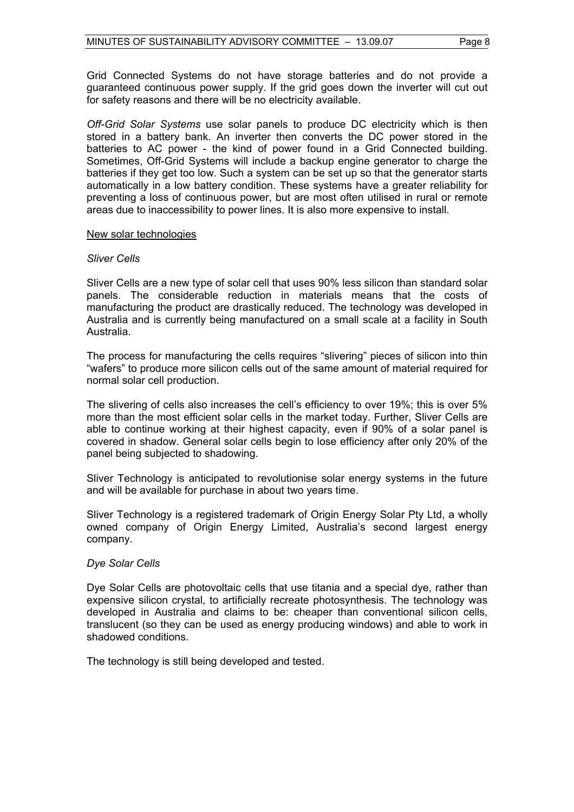Grid Connected Systems do not have storage batteries and do not provide a guaranteed continuous power supply. If the grid goes down the inverter will cut out for safety reasons and there will be no electricity available.

*Off-Grid Solar Systems* use solar panels to produce DC electricity which is then stored in a battery bank. An inverter then converts the DC power stored in the batteries to AC power - the kind of power found in a Grid Connected building. Sometimes, Off-Grid Systems will include a backup engine generator to charge the batteries if they get too low. Such a system can be set up so that the generator starts automatically in a low battery condition. These systems have a greater reliability for preventing a loss of continuous power, but are most often utilised in rural or remote areas due to inaccessibility to power lines. It is also more expensive to install.

# New solar technologies

# *Sliver Cells*

Sliver Cells are a new type of solar cell that uses 90% less silicon than standard solar panels. The considerable reduction in materials means that the costs of manufacturing the product are drastically reduced. The technology was developed in Australia and is currently being manufactured on a small scale at a facility in South Australia.

The process for manufacturing the cells requires "slivering" pieces of silicon into thin "wafers" to produce more silicon cells out of the same amount of material required for normal solar cell production.

The slivering of cells also increases the cell's efficiency to over 19%; this is over 5% more than the most efficient solar cells in the market today. Further, Sliver Cells are able to continue working at their highest capacity, even if 90% of a solar panel is covered in shadow. General solar cells begin to lose efficiency after only 20% of the panel being subjected to shadowing.

Sliver Technology is anticipated to revolutionise solar energy systems in the future and will be available for purchase in about two years time.

Sliver Technology is a registered trademark of Origin Energy Solar Pty Ltd, a wholly owned company of Origin Energy Limited, Australia's second largest energy company.

# *Dye Solar Cells*

Dye Solar Cells are photovoltaic cells that use titania and a special dye, rather than expensive silicon crystal, to artificially recreate photosynthesis. The technology was developed in Australia and claims to be: cheaper than conventional silicon cells, translucent (so they can be used as energy producing windows) and able to work in shadowed conditions.

The technology is still being developed and tested.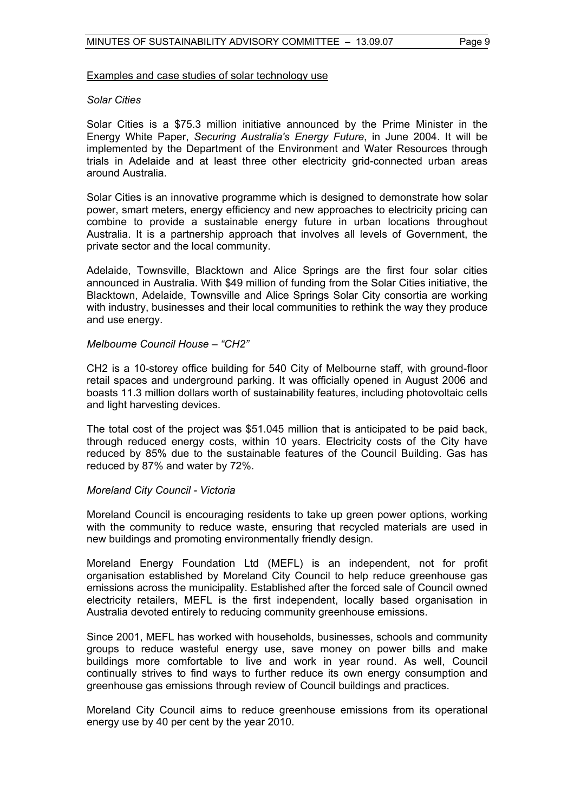#### Examples and case studies of solar technology use

#### *Solar Cities*

Solar Cities is a \$75.3 million initiative announced by the Prime Minister in the Energy White Paper, *Securing Australia's Energy Future*, in June 2004. It will be implemented by the Department of the Environment and Water Resources through trials in Adelaide and at least three other electricity grid-connected urban areas around Australia.

Solar Cities is an innovative programme which is designed to demonstrate how solar power, smart meters, energy efficiency and new approaches to electricity pricing can combine to provide a sustainable energy future in urban locations throughout Australia. It is a partnership approach that involves all levels of Government, the private sector and the local community.

Adelaide, Townsville, Blacktown and Alice Springs are the first four solar cities announced in Australia. With \$49 million of funding from the Solar Cities initiative, the Blacktown, Adelaide, Townsville and Alice Springs Solar City consortia are working with industry, businesses and their local communities to rethink the way they produce and use energy.

#### *Melbourne Council House – "CH2"*

CH2 is a 10-storey office building for 540 City of Melbourne staff, with ground-floor retail spaces and underground parking. It was officially opened in August 2006 and boasts 11.3 million dollars worth of sustainability features, including photovoltaic cells and light harvesting devices.

The total cost of the project was \$51.045 million that is anticipated to be paid back, through reduced energy costs, within 10 years. Electricity costs of the City have reduced by 85% due to the sustainable features of the Council Building. Gas has reduced by 87% and water by 72%.

#### *Moreland City Council - Victoria*

Moreland Council is encouraging residents to take up green power options, working with the community to reduce waste, ensuring that recycled materials are used in new buildings and promoting environmentally friendly design.

Moreland Energy Foundation Ltd (MEFL) is an independent, not for profit organisation established by Moreland City Council to help reduce greenhouse gas emissions across the municipality. Established after the forced sale of Council owned electricity retailers, MEFL is the first independent, locally based organisation in Australia devoted entirely to reducing community greenhouse emissions.

Since 2001, MEFL has worked with households, businesses, schools and community groups to reduce wasteful energy use, save money on power bills and make buildings more comfortable to live and work in year round. As well, Council continually strives to find ways to further reduce its own energy consumption and greenhouse gas emissions through review of Council buildings and practices.

Moreland City Council aims to reduce greenhouse emissions from its operational energy use by 40 per cent by the year 2010.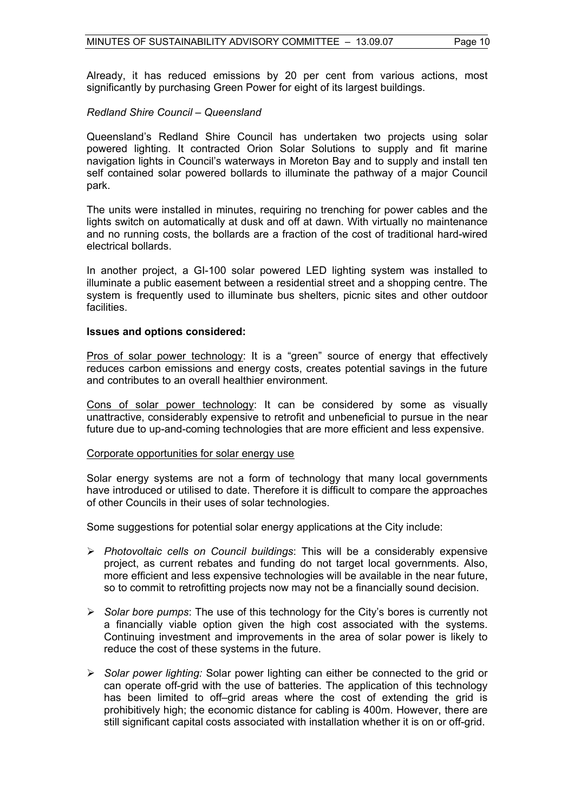Already, it has reduced emissions by 20 per cent from various actions, most significantly by purchasing Green Power for eight of its largest buildings.

# *Redland Shire Council – Queensland*

Queensland's Redland Shire Council has undertaken two projects using solar powered lighting. It contracted Orion Solar Solutions to supply and fit marine navigation lights in Council's waterways in Moreton Bay and to supply and install ten self contained solar powered bollards to illuminate the pathway of a major Council park.

The units were installed in minutes, requiring no trenching for power cables and the lights switch on automatically at dusk and off at dawn. With virtually no maintenance and no running costs, the bollards are a fraction of the cost of traditional hard-wired electrical bollards.

In another project, a GI-100 solar powered LED lighting system was installed to illuminate a public easement between a residential street and a shopping centre. The system is frequently used to illuminate bus shelters, picnic sites and other outdoor facilities.

#### **Issues and options considered:**

Pros of solar power technology: It is a "green" source of energy that effectively reduces carbon emissions and energy costs, creates potential savings in the future and contributes to an overall healthier environment.

Cons of solar power technology: It can be considered by some as visually unattractive, considerably expensive to retrofit and unbeneficial to pursue in the near future due to up-and-coming technologies that are more efficient and less expensive.

#### Corporate opportunities for solar energy use

Solar energy systems are not a form of technology that many local governments have introduced or utilised to date. Therefore it is difficult to compare the approaches of other Councils in their uses of solar technologies.

Some suggestions for potential solar energy applications at the City include:

- ¾ *Photovoltaic cells on Council buildings*: This will be a considerably expensive project, as current rebates and funding do not target local governments. Also, more efficient and less expensive technologies will be available in the near future, so to commit to retrofitting projects now may not be a financially sound decision.
- ¾ *Solar bore pumps*: The use of this technology for the City's bores is currently not a financially viable option given the high cost associated with the systems. Continuing investment and improvements in the area of solar power is likely to reduce the cost of these systems in the future.
- ¾ *Solar power lighting:* Solar power lighting can either be connected to the grid or can operate off-grid with the use of batteries. The application of this technology has been limited to off–grid areas where the cost of extending the grid is prohibitively high; the economic distance for cabling is 400m. However, there are still significant capital costs associated with installation whether it is on or off-grid.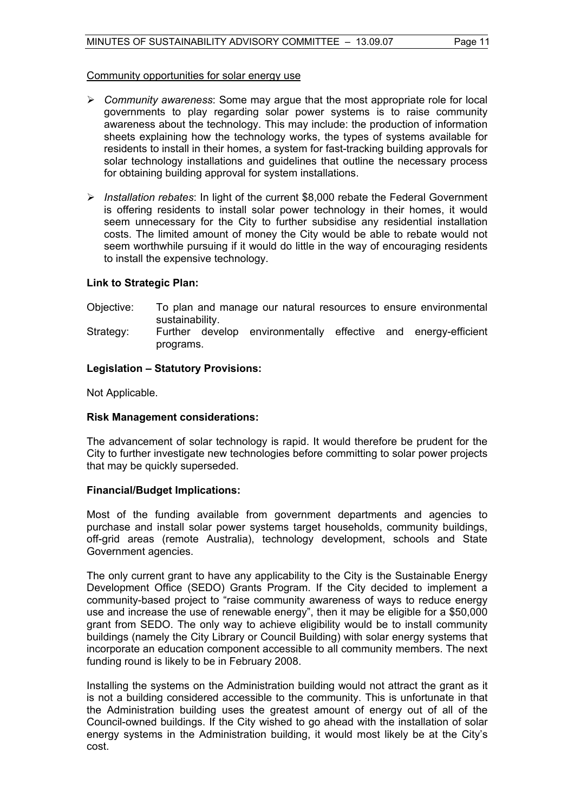#### Community opportunities for solar energy use

- ¾ *Community awareness*: Some may argue that the most appropriate role for local governments to play regarding solar power systems is to raise community awareness about the technology. This may include: the production of information sheets explaining how the technology works, the types of systems available for residents to install in their homes, a system for fast-tracking building approvals for solar technology installations and guidelines that outline the necessary process for obtaining building approval for system installations.
- ¾ *Installation rebates*: In light of the current \$8,000 rebate the Federal Government is offering residents to install solar power technology in their homes, it would seem unnecessary for the City to further subsidise any residential installation costs. The limited amount of money the City would be able to rebate would not seem worthwhile pursuing if it would do little in the way of encouraging residents to install the expensive technology.

# **Link to Strategic Plan:**

- Objective: To plan and manage our natural resources to ensure environmental sustainability.
- Strategy: Further develop environmentally effective and energy-efficient programs.

#### **Legislation – Statutory Provisions:**

Not Applicable.

#### **Risk Management considerations:**

The advancement of solar technology is rapid. It would therefore be prudent for the City to further investigate new technologies before committing to solar power projects that may be quickly superseded.

#### **Financial/Budget Implications:**

Most of the funding available from government departments and agencies to purchase and install solar power systems target households, community buildings, off-grid areas (remote Australia), technology development, schools and State Government agencies.

The only current grant to have any applicability to the City is the Sustainable Energy Development Office (SEDO) Grants Program. If the City decided to implement a community-based project to "raise community awareness of ways to reduce energy use and increase the use of renewable energy", then it may be eligible for a \$50,000 grant from SEDO. The only way to achieve eligibility would be to install community buildings (namely the City Library or Council Building) with solar energy systems that incorporate an education component accessible to all community members. The next funding round is likely to be in February 2008.

Installing the systems on the Administration building would not attract the grant as it is not a building considered accessible to the community. This is unfortunate in that the Administration building uses the greatest amount of energy out of all of the Council-owned buildings. If the City wished to go ahead with the installation of solar energy systems in the Administration building, it would most likely be at the City's cost.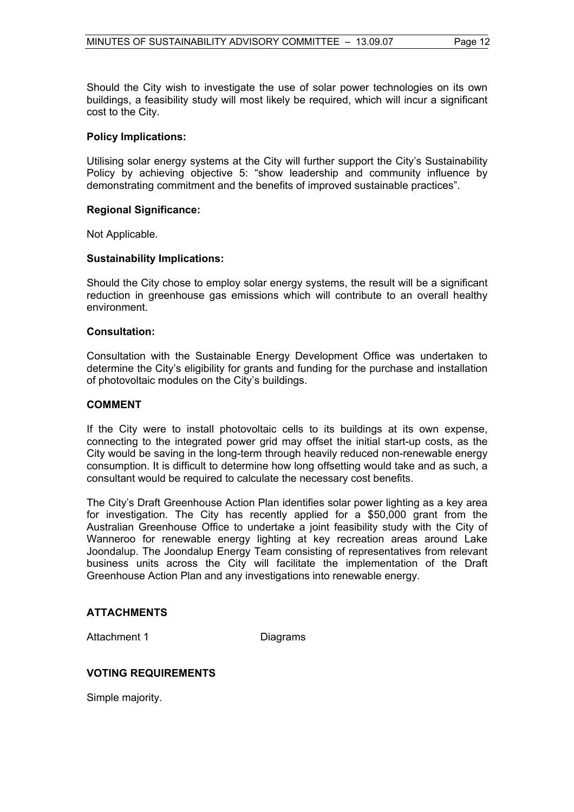Should the City wish to investigate the use of solar power technologies on its own buildings, a feasibility study will most likely be required, which will incur a significant cost to the City.

# **Policy Implications:**

Utilising solar energy systems at the City will further support the City's Sustainability Policy by achieving objective 5: "show leadership and community influence by demonstrating commitment and the benefits of improved sustainable practices".

# **Regional Significance:**

Not Applicable.

# **Sustainability Implications:**

Should the City chose to employ solar energy systems, the result will be a significant reduction in greenhouse gas emissions which will contribute to an overall healthy environment.

# **Consultation:**

Consultation with the Sustainable Energy Development Office was undertaken to determine the City's eligibility for grants and funding for the purchase and installation of photovoltaic modules on the City's buildings.

# **COMMENT**

If the City were to install photovoltaic cells to its buildings at its own expense, connecting to the integrated power grid may offset the initial start-up costs, as the City would be saving in the long-term through heavily reduced non-renewable energy consumption. It is difficult to determine how long offsetting would take and as such, a consultant would be required to calculate the necessary cost benefits.

The City's Draft Greenhouse Action Plan identifies solar power lighting as a key area for investigation. The City has recently applied for a \$50,000 grant from the Australian Greenhouse Office to undertake a joint feasibility study with the City of Wanneroo for renewable energy lighting at key recreation areas around Lake Joondalup. The Joondalup Energy Team consisting of representatives from relevant business units across the City will facilitate the implementation of the Draft Greenhouse Action Plan and any investigations into renewable energy.

# **ATTACHMENTS**

Attachment 1 Diagrams

# **VOTING REQUIREMENTS**

Simple majority.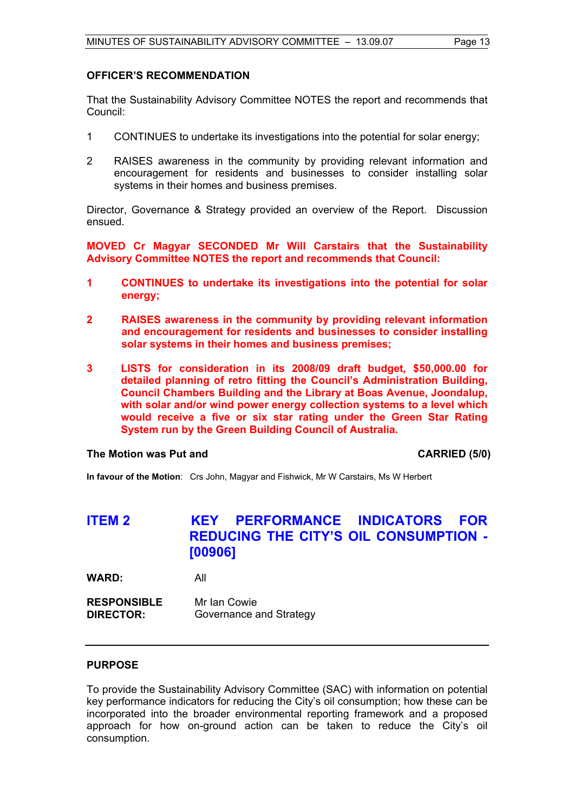### **OFFICER'S RECOMMENDATION**

That the Sustainability Advisory Committee NOTES the report and recommends that Council:

- 1 CONTINUES to undertake its investigations into the potential for solar energy;
- 2 RAISES awareness in the community by providing relevant information and encouragement for residents and businesses to consider installing solar systems in their homes and business premises.

Director, Governance & Strategy provided an overview of the Report. Discussion ensued.

**MOVED Cr Magyar SECONDED Mr Will Carstairs that the Sustainability Advisory Committee NOTES the report and recommends that Council:** 

- **1 CONTINUES to undertake its investigations into the potential for solar energy;**
- **2 RAISES awareness in the community by providing relevant information and encouragement for residents and businesses to consider installing solar systems in their homes and business premises;**
- **3****LISTS for consideration in its 2008/09 draft budget***,* **\$50,000.00 for detailed planning of retro fitting the Council's Administration Building, Council Chambers Building and the Library at Boas Avenue, Joondalup, with solar and/or wind power energy collection systems to a level which would receive a five or six star rating under the Green Star Rating System run by the Green Building Council of Australia.**

#### **The Motion was Put and CARRIED (5/0)**

**In favour of the Motion**: Crs John, Magyar and Fishwick, Mr W Carstairs, Ms W Herbert

# **ITEM 2 KEY PERFORMANCE INDICATORS FOR REDUCING THE CITY'S OIL CONSUMPTION - [00906]**

**WARD:** All

**RESPONSIBLE** Mr Ian Cowie **DIRECTOR:** Governance and Strategy

#### **PURPOSE**

To provide the Sustainability Advisory Committee (SAC) with information on potential key performance indicators for reducing the City's oil consumption; how these can be incorporated into the broader environmental reporting framework and a proposed approach for how on-ground action can be taken to reduce the City's oil consumption.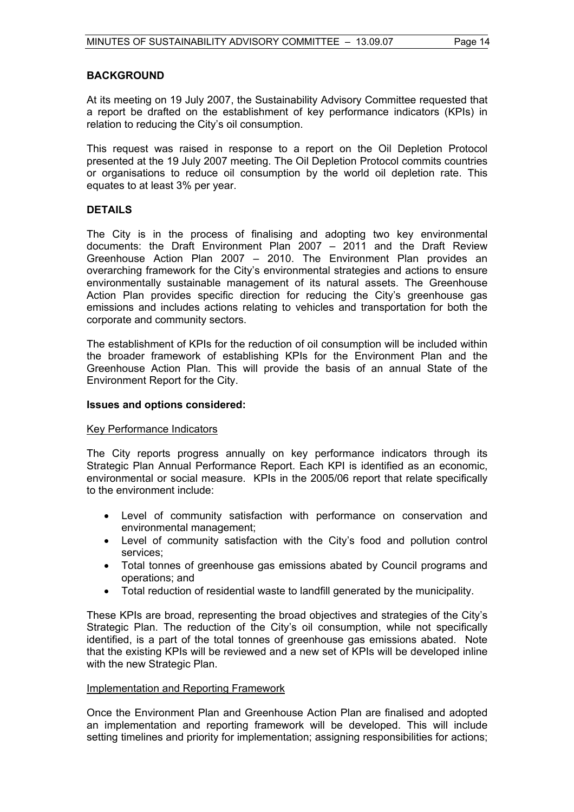# **BACKGROUND**

At its meeting on 19 July 2007, the Sustainability Advisory Committee requested that a report be drafted on the establishment of key performance indicators (KPIs) in relation to reducing the City's oil consumption.

This request was raised in response to a report on the Oil Depletion Protocol presented at the 19 July 2007 meeting. The Oil Depletion Protocol commits countries or organisations to reduce oil consumption by the world oil depletion rate. This equates to at least 3% per year.

# **DETAILS**

The City is in the process of finalising and adopting two key environmental documents: the Draft Environment Plan 2007 – 2011 and the Draft Review Greenhouse Action Plan 2007 – 2010. The Environment Plan provides an overarching framework for the City's environmental strategies and actions to ensure environmentally sustainable management of its natural assets. The Greenhouse Action Plan provides specific direction for reducing the City's greenhouse gas emissions and includes actions relating to vehicles and transportation for both the corporate and community sectors.

The establishment of KPIs for the reduction of oil consumption will be included within the broader framework of establishing KPIs for the Environment Plan and the Greenhouse Action Plan. This will provide the basis of an annual State of the Environment Report for the City.

# **Issues and options considered:**

#### Key Performance Indicators

The City reports progress annually on key performance indicators through its Strategic Plan Annual Performance Report. Each KPI is identified as an economic, environmental or social measure. KPIs in the 2005/06 report that relate specifically to the environment include:

- Level of community satisfaction with performance on conservation and environmental management;
- Level of community satisfaction with the City's food and pollution control services;
- Total tonnes of greenhouse gas emissions abated by Council programs and operations; and
- Total reduction of residential waste to landfill generated by the municipality.

These KPIs are broad, representing the broad objectives and strategies of the City's Strategic Plan. The reduction of the City's oil consumption, while not specifically identified, is a part of the total tonnes of greenhouse gas emissions abated. Note that the existing KPIs will be reviewed and a new set of KPIs will be developed inline with the new Strategic Plan.

#### Implementation and Reporting Framework

Once the Environment Plan and Greenhouse Action Plan are finalised and adopted an implementation and reporting framework will be developed. This will include setting timelines and priority for implementation; assigning responsibilities for actions;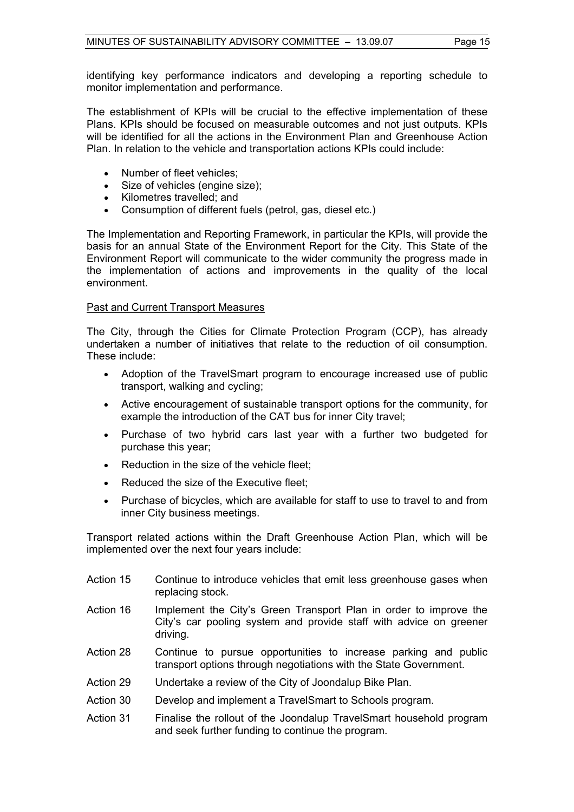identifying key performance indicators and developing a reporting schedule to monitor implementation and performance.

The establishment of KPIs will be crucial to the effective implementation of these Plans. KPIs should be focused on measurable outcomes and not just outputs. KPIs will be identified for all the actions in the Environment Plan and Greenhouse Action Plan. In relation to the vehicle and transportation actions KPIs could include:

- Number of fleet vehicles;
- Size of vehicles (engine size);
- Kilometres travelled; and
- Consumption of different fuels (petrol, gas, diesel etc.)

The Implementation and Reporting Framework, in particular the KPIs, will provide the basis for an annual State of the Environment Report for the City. This State of the Environment Report will communicate to the wider community the progress made in the implementation of actions and improvements in the quality of the local environment.

#### Past and Current Transport Measures

The City, through the Cities for Climate Protection Program (CCP), has already undertaken a number of initiatives that relate to the reduction of oil consumption. These include:

- Adoption of the TravelSmart program to encourage increased use of public transport, walking and cycling;
- Active encouragement of sustainable transport options for the community, for example the introduction of the CAT bus for inner City travel;
- Purchase of two hybrid cars last year with a further two budgeted for purchase this year;
- Reduction in the size of the vehicle fleet;
- Reduced the size of the Executive fleet:
- Purchase of bicycles, which are available for staff to use to travel to and from inner City business meetings.

Transport related actions within the Draft Greenhouse Action Plan, which will be implemented over the next four years include:

- Action 15 Continue to introduce vehicles that emit less greenhouse gases when replacing stock.
- Action 16 Implement the City's Green Transport Plan in order to improve the City's car pooling system and provide staff with advice on greener driving.
- Action 28 Continue to pursue opportunities to increase parking and public transport options through negotiations with the State Government.
- Action 29 Undertake a review of the City of Joondalup Bike Plan.
- Action 30 Develop and implement a TravelSmart to Schools program.
- Action 31 Finalise the rollout of the Joondalup TravelSmart household program and seek further funding to continue the program.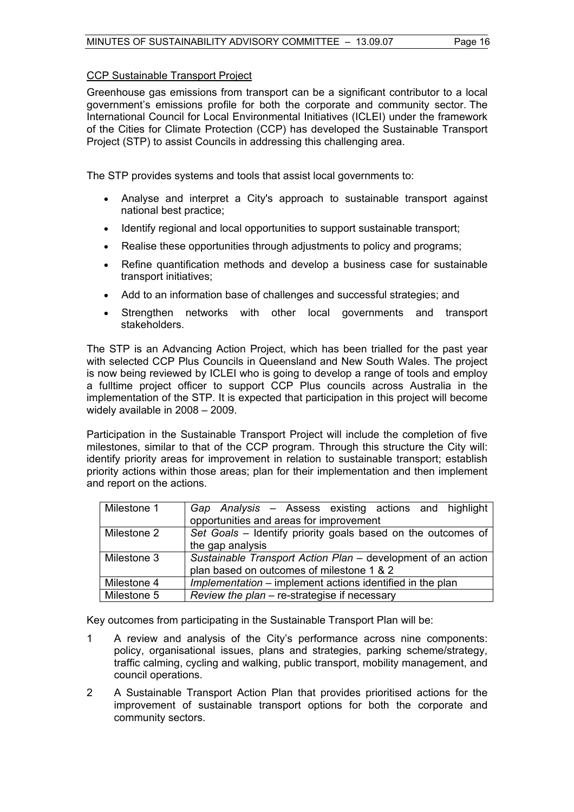# CCP Sustainable Transport Project

Greenhouse gas emissions from transport can be a significant contributor to a local government's emissions profile for both the corporate and community sector. The International Council for Local Environmental Initiatives (ICLEI) under the framework of the Cities for Climate Protection (CCP) has developed the Sustainable Transport Project (STP) to assist Councils in addressing this challenging area.

The STP provides systems and tools that assist local governments to:

- Analyse and interpret a City's approach to sustainable transport against national best practice;
- Identify regional and local opportunities to support sustainable transport;
- Realise these opportunities through adjustments to policy and programs;
- Refine quantification methods and develop a business case for sustainable transport initiatives;
- Add to an information base of challenges and successful strategies; and
- Strengthen networks with other local governments and transport stakeholders.

The STP is an Advancing Action Project, which has been trialled for the past year with selected CCP Plus Councils in Queensland and New South Wales. The project is now being reviewed by ICLEI who is going to develop a range of tools and employ a fulltime project officer to support CCP Plus councils across Australia in the implementation of the STP. It is expected that participation in this project will become widely available in 2008 – 2009.

Participation in the Sustainable Transport Project will include the completion of five milestones, similar to that of the CCP program. Through this structure the City will: identify priority areas for improvement in relation to sustainable transport; establish priority actions within those areas; plan for their implementation and then implement and report on the actions.

| Milestone 1 | Gap Analysis – Assess existing actions and highlight         |  |
|-------------|--------------------------------------------------------------|--|
|             | opportunities and areas for improvement                      |  |
| Milestone 2 | Set Goals - Identify priority goals based on the outcomes of |  |
|             | the gap analysis                                             |  |
| Milestone 3 | Sustainable Transport Action Plan – development of an action |  |
|             | plan based on outcomes of milestone 1 & 2                    |  |
| Milestone 4 | Implementation – implement actions identified in the plan    |  |
| Milestone 5 | Review the plan - re-strategise if necessary                 |  |

Key outcomes from participating in the Sustainable Transport Plan will be:

- 1 A review and analysis of the City's performance across nine components: policy, organisational issues, plans and strategies, parking scheme/strategy, traffic calming, cycling and walking, public transport, mobility management, and council operations.
- 2 A Sustainable Transport Action Plan that provides prioritised actions for the improvement of sustainable transport options for both the corporate and community sectors.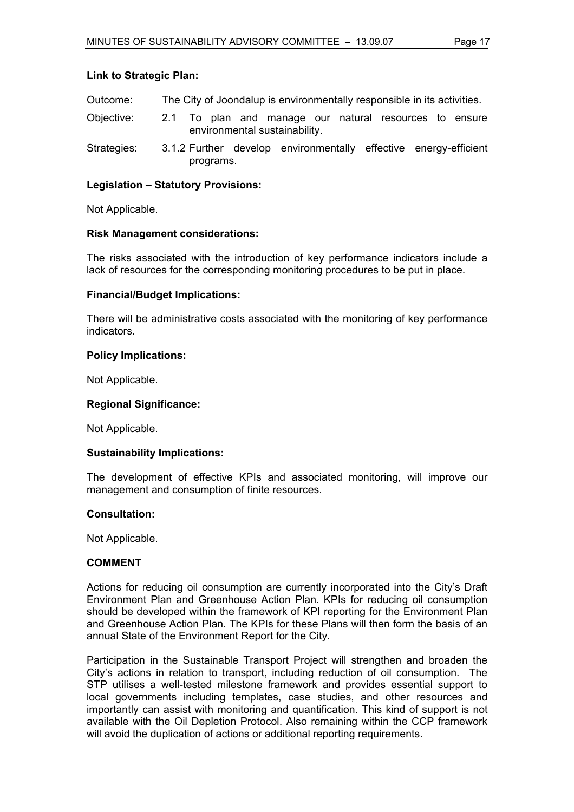### **Link to Strategic Plan:**

- Outcome: The City of Joondalup is environmentally responsible in its activities.
- Objective: 2.1 To plan and manage our natural resources to ensure environmental sustainability.
- Strategies: 3.1.2 Further develop environmentally effective energy-efficient programs.

# **Legislation – Statutory Provisions:**

Not Applicable.

#### **Risk Management considerations:**

The risks associated with the introduction of key performance indicators include a lack of resources for the corresponding monitoring procedures to be put in place.

# **Financial/Budget Implications:**

There will be administrative costs associated with the monitoring of key performance indicators.

# **Policy Implications:**

Not Applicable.

# **Regional Significance:**

Not Applicable.

#### **Sustainability Implications:**

The development of effective KPIs and associated monitoring, will improve our management and consumption of finite resources.

#### **Consultation:**

Not Applicable.

#### **COMMENT**

Actions for reducing oil consumption are currently incorporated into the City's Draft Environment Plan and Greenhouse Action Plan. KPIs for reducing oil consumption should be developed within the framework of KPI reporting for the Environment Plan and Greenhouse Action Plan. The KPIs for these Plans will then form the basis of an annual State of the Environment Report for the City.

Participation in the Sustainable Transport Project will strengthen and broaden the City's actions in relation to transport, including reduction of oil consumption. The STP utilises a well-tested milestone framework and provides essential support to local governments including templates, case studies, and other resources and importantly can assist with monitoring and quantification. This kind of support is not available with the Oil Depletion Protocol. Also remaining within the CCP framework will avoid the duplication of actions or additional reporting requirements.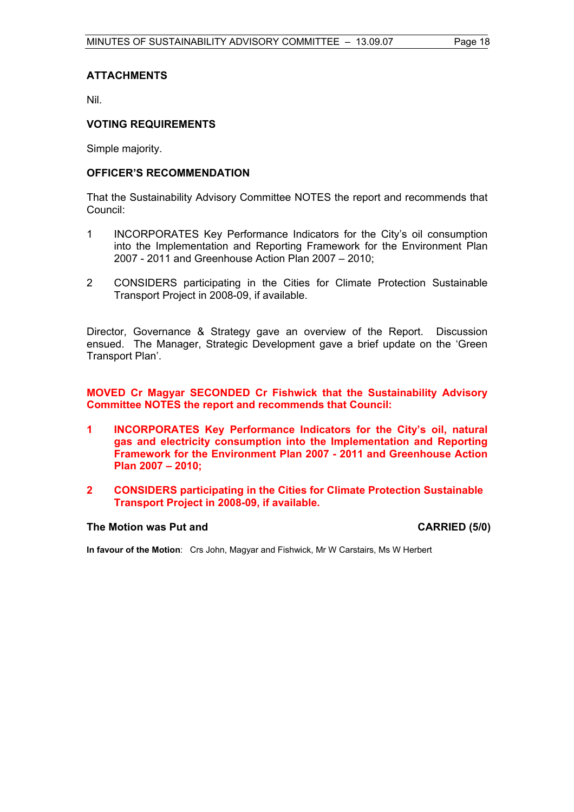# **ATTACHMENTS**

Nil.

### **VOTING REQUIREMENTS**

Simple majority.

### **OFFICER'S RECOMMENDATION**

That the Sustainability Advisory Committee NOTES the report and recommends that Council:

- 1 INCORPORATES Key Performance Indicators for the City's oil consumption into the Implementation and Reporting Framework for the Environment Plan 2007 - 2011 and Greenhouse Action Plan 2007 – 2010;
- 2 CONSIDERS participating in the Cities for Climate Protection Sustainable Transport Project in 2008-09, if available.

Director, Governance & Strategy gave an overview of the Report. Discussion ensued. The Manager, Strategic Development gave a brief update on the 'Green Transport Plan'.

**MOVED Cr Magyar SECONDED Cr Fishwick that the Sustainability Advisory Committee NOTES the report and recommends that Council:** 

- **1 INCORPORATES Key Performance Indicators for the City's oil, natural gas and electricity consumption into the Implementation and Reporting Framework for the Environment Plan 2007 - 2011 and Greenhouse Action Plan 2007 – 2010;**
- **2 CONSIDERS participating in the Cities for Climate Protection Sustainable Transport Project in 2008-09, if available.**

# The Motion was Put and **CARRIED** (5/0)

**In favour of the Motion**: Crs John, Magyar and Fishwick, Mr W Carstairs, Ms W Herbert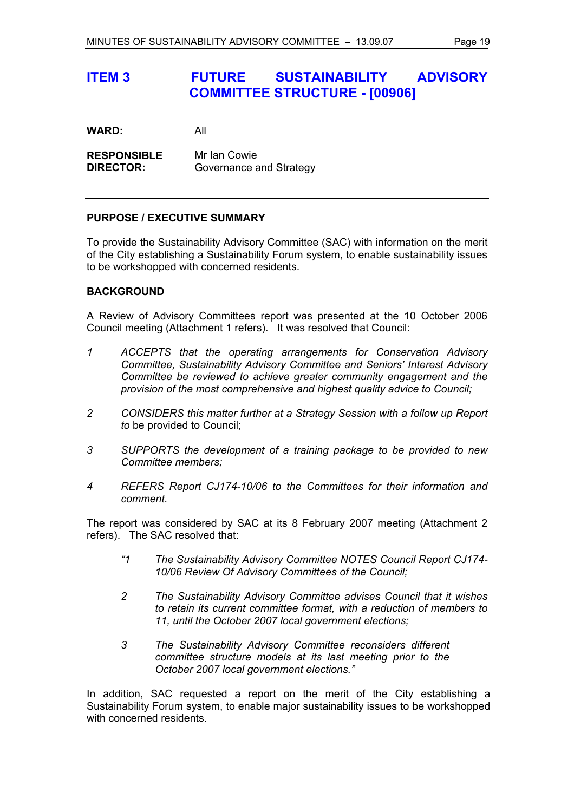# **ITEM 3 FUTURE SUSTAINABILITY ADVISORY COMMITTEE STRUCTURE - [00906]**

**WARD:** All

**RESPONSIBLE** Mr Ian Cowie **DIRECTOR:** Governance and Strategy

# **PURPOSE / EXECUTIVE SUMMARY**

To provide the Sustainability Advisory Committee (SAC) with information on the merit of the City establishing a Sustainability Forum system, to enable sustainability issues to be workshopped with concerned residents.

# **BACKGROUND**

A Review of Advisory Committees report was presented at the 10 October 2006 Council meeting (Attachment 1 refers). It was resolved that Council:

- *1 ACCEPTS that the operating arrangements for Conservation Advisory Committee, Sustainability Advisory Committee and Seniors' Interest Advisory Committee be reviewed to achieve greater community engagement and the provision of the most comprehensive and highest quality advice to Council;*
- *2 CONSIDERS this matter further at a Strategy Session with a follow up Report to* be provided to Council;
- *3 SUPPORTS the development of a training package to be provided to new Committee members;*
- *4 REFERS Report CJ174-10/06 to the Committees for their information and comment.*

The report was considered by SAC at its 8 February 2007 meeting (Attachment 2 refers). The SAC resolved that:

- *"1 The Sustainability Advisory Committee NOTES Council Report CJ174- 10/06 Review Of Advisory Committees of the Council;*
- *2 The Sustainability Advisory Committee advises Council that it wishes to retain its current committee format, with a reduction of members to 11, until the October 2007 local government elections;*
- *3 The Sustainability Advisory Committee reconsiders different committee structure models at its last meeting prior to the October 2007 local government elections."*

In addition, SAC requested a report on the merit of the City establishing a Sustainability Forum system, to enable major sustainability issues to be workshopped with concerned residents.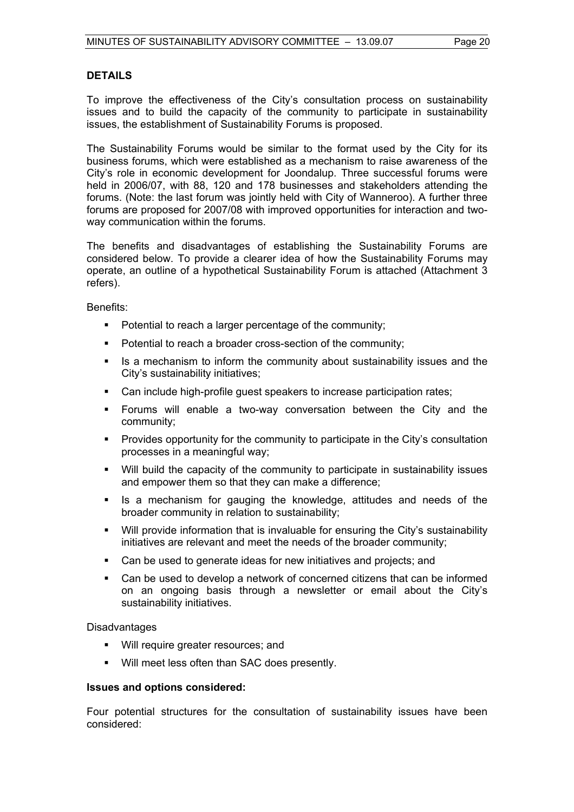# **DETAILS**

To improve the effectiveness of the City's consultation process on sustainability issues and to build the capacity of the community to participate in sustainability issues, the establishment of Sustainability Forums is proposed.

The Sustainability Forums would be similar to the format used by the City for its business forums, which were established as a mechanism to raise awareness of the City's role in economic development for Joondalup. Three successful forums were held in 2006/07, with 88, 120 and 178 businesses and stakeholders attending the forums. (Note: the last forum was jointly held with City of Wanneroo). A further three forums are proposed for 2007/08 with improved opportunities for interaction and twoway communication within the forums.

The benefits and disadvantages of establishing the Sustainability Forums are considered below. To provide a clearer idea of how the Sustainability Forums may operate, an outline of a hypothetical Sustainability Forum is attached (Attachment 3 refers).

Benefits:

- **Potential to reach a larger percentage of the community;**
- **Potential to reach a broader cross-section of the community;**
- Is a mechanism to inform the community about sustainability issues and the City's sustainability initiatives;
- Can include high-profile guest speakers to increase participation rates;
- Forums will enable a two-way conversation between the City and the community;
- Provides opportunity for the community to participate in the City's consultation processes in a meaningful way;
- Will build the capacity of the community to participate in sustainability issues and empower them so that they can make a difference;
- Is a mechanism for gauging the knowledge, attitudes and needs of the broader community in relation to sustainability;
- Will provide information that is invaluable for ensuring the City's sustainability initiatives are relevant and meet the needs of the broader community;
- Can be used to generate ideas for new initiatives and projects; and
- Can be used to develop a network of concerned citizens that can be informed on an ongoing basis through a newsletter or email about the City's sustainability initiatives.

Disadvantages

- **Will require greater resources; and**
- Will meet less often than SAC does presently.

#### **Issues and options considered:**

Four potential structures for the consultation of sustainability issues have been considered: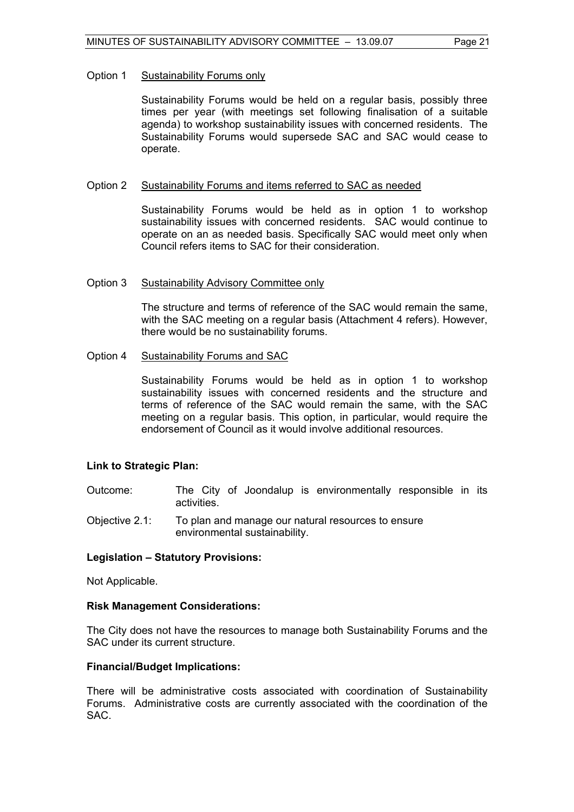#### Option 1 Sustainability Forums only

Sustainability Forums would be held on a regular basis, possibly three times per year (with meetings set following finalisation of a suitable agenda) to workshop sustainability issues with concerned residents. The Sustainability Forums would supersede SAC and SAC would cease to operate.

#### Option 2 Sustainability Forums and items referred to SAC as needed

Sustainability Forums would be held as in option 1 to workshop sustainability issues with concerned residents. SAC would continue to operate on an as needed basis. Specifically SAC would meet only when Council refers items to SAC for their consideration.

#### Option 3 Sustainability Advisory Committee only

The structure and terms of reference of the SAC would remain the same, with the SAC meeting on a regular basis (Attachment 4 refers). However, there would be no sustainability forums.

#### Option 4 Sustainability Forums and SAC

Sustainability Forums would be held as in option 1 to workshop sustainability issues with concerned residents and the structure and terms of reference of the SAC would remain the same, with the SAC meeting on a regular basis. This option, in particular, would require the endorsement of Council as it would involve additional resources.

#### **Link to Strategic Plan:**

- Outcome: The City of Joondalup is environmentally responsible in its activities.
- Objective 2.1: To plan and manage our natural resources to ensure environmental sustainability.

### **Legislation – Statutory Provisions:**

Not Applicable.

#### **Risk Management Considerations:**

The City does not have the resources to manage both Sustainability Forums and the SAC under its current structure.

#### **Financial/Budget Implications:**

There will be administrative costs associated with coordination of Sustainability Forums. Administrative costs are currently associated with the coordination of the SAC.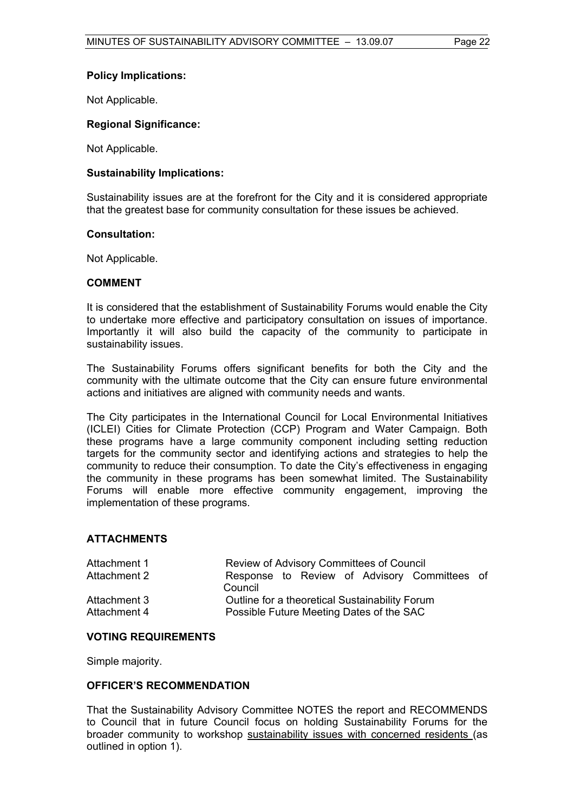# **Policy Implications:**

Not Applicable.

# **Regional Significance:**

Not Applicable.

# **Sustainability Implications:**

Sustainability issues are at the forefront for the City and it is considered appropriate that the greatest base for community consultation for these issues be achieved.

# **Consultation:**

Not Applicable.

### **COMMENT**

It is considered that the establishment of Sustainability Forums would enable the City to undertake more effective and participatory consultation on issues of importance. Importantly it will also build the capacity of the community to participate in sustainability issues.

The Sustainability Forums offers significant benefits for both the City and the community with the ultimate outcome that the City can ensure future environmental actions and initiatives are aligned with community needs and wants.

The City participates in the International Council for Local Environmental Initiatives (ICLEI) Cities for Climate Protection (CCP) Program and Water Campaign. Both these programs have a large community component including setting reduction targets for the community sector and identifying actions and strategies to help the community to reduce their consumption. To date the City's effectiveness in engaging the community in these programs has been somewhat limited. The Sustainability Forums will enable more effective community engagement, improving the implementation of these programs.

# **ATTACHMENTS**

| Attachment 1 | Review of Advisory Committees of Council       |  |
|--------------|------------------------------------------------|--|
| Attachment 2 | Response to Review of Advisory Committees of   |  |
|              | Council                                        |  |
| Attachment 3 | Outline for a theoretical Sustainability Forum |  |
| Attachment 4 | Possible Future Meeting Dates of the SAC       |  |

#### **VOTING REQUIREMENTS**

Simple majority.

#### **OFFICER'S RECOMMENDATION**

That the Sustainability Advisory Committee NOTES the report and RECOMMENDS to Council that in future Council focus on holding Sustainability Forums for the broader community to workshop sustainability issues with concerned residents (as outlined in option 1).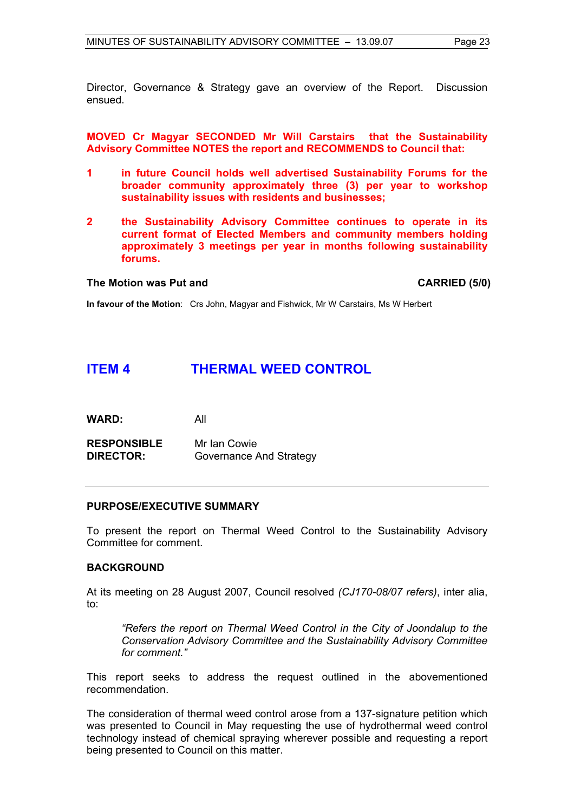Director, Governance & Strategy gave an overview of the Report. Discussion ensued.

**MOVED Cr Magyar SECONDED Mr Will Carstairs that the Sustainability Advisory Committee NOTES the report and RECOMMENDS to Council that:** 

- **1 in future Council holds well advertised Sustainability Forums for the broader community approximately three (3) per year to workshop sustainability issues with residents and businesses;**
- **2 the Sustainability Advisory Committee continues to operate in its current format of Elected Members and community members holding approximately 3 meetings per year in months following sustainability forums.**

#### The Motion was Put and **CARRIED** (5/0)

**In favour of the Motion**: Crs John, Magyar and Fishwick, Mr W Carstairs, Ms W Herbert

# **ITEM 4 THERMAL WEED CONTROL**

| <b>WARD:</b> | All |
|--------------|-----|
|--------------|-----|

**RESPONSIBLE** Mr Ian Cowie **DIRECTOR:** Governance And Strategy

#### **PURPOSE/EXECUTIVE SUMMARY**

To present the report on Thermal Weed Control to the Sustainability Advisory Committee for comment.

# **BACKGROUND**

At its meeting on 28 August 2007, Council resolved *(CJ170-08/07 refers)*, inter alia, to:

*"Refers the report on Thermal Weed Control in the City of Joondalup to the Conservation Advisory Committee and the Sustainability Advisory Committee for comment."*

This report seeks to address the request outlined in the abovementioned recommendation.

The consideration of thermal weed control arose from a 137-signature petition which was presented to Council in May requesting the use of hydrothermal weed control technology instead of chemical spraying wherever possible and requesting a report being presented to Council on this matter.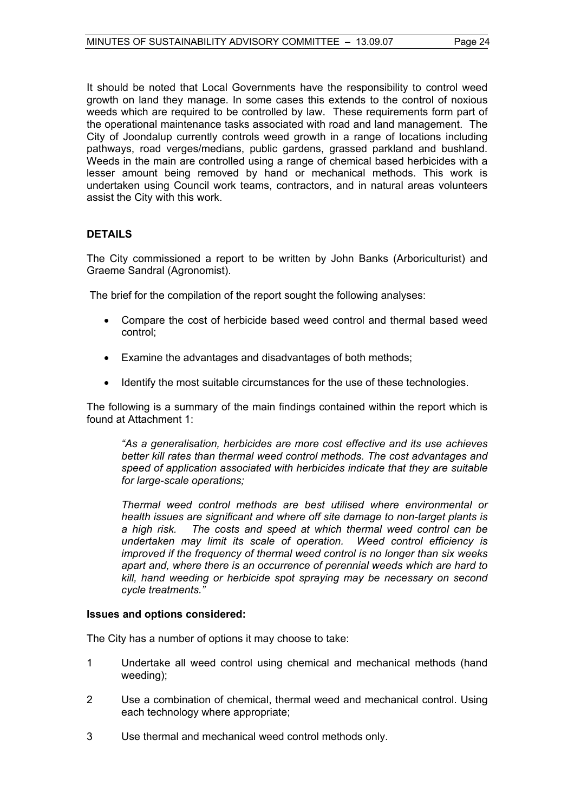It should be noted that Local Governments have the responsibility to control weed growth on land they manage. In some cases this extends to the control of noxious weeds which are required to be controlled by law. These requirements form part of the operational maintenance tasks associated with road and land management. The City of Joondalup currently controls weed growth in a range of locations including pathways, road verges/medians, public gardens, grassed parkland and bushland. Weeds in the main are controlled using a range of chemical based herbicides with a lesser amount being removed by hand or mechanical methods. This work is undertaken using Council work teams, contractors, and in natural areas volunteers assist the City with this work.

# **DETAILS**

The City commissioned a report to be written by John Banks (Arboriculturist) and Graeme Sandral (Agronomist).

The brief for the compilation of the report sought the following analyses:

- Compare the cost of herbicide based weed control and thermal based weed control;
- Examine the advantages and disadvantages of both methods;
- Identify the most suitable circumstances for the use of these technologies.

The following is a summary of the main findings contained within the report which is found at Attachment 1:

*"As a generalisation, herbicides are more cost effective and its use achieves better kill rates than thermal weed control methods. The cost advantages and speed of application associated with herbicides indicate that they are suitable for large-scale operations;* 

*Thermal weed control methods are best utilised where environmental or health issues are significant and where off site damage to non-target plants is a high risk. The costs and speed at which thermal weed control can be undertaken may limit its scale of operation. Weed control efficiency is improved if the frequency of thermal weed control is no longer than six weeks apart and, where there is an occurrence of perennial weeds which are hard to kill, hand weeding or herbicide spot spraying may be necessary on second cycle treatments."* 

#### **Issues and options considered:**

The City has a number of options it may choose to take:

- 1 Undertake all weed control using chemical and mechanical methods (hand weeding);
- 2 Use a combination of chemical, thermal weed and mechanical control. Using each technology where appropriate;
- 3 Use thermal and mechanical weed control methods only.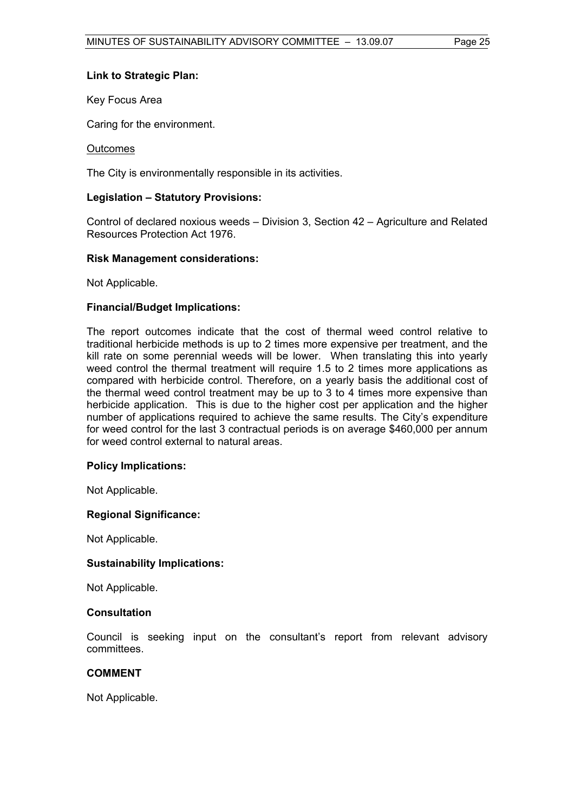# **Link to Strategic Plan:**

Key Focus Area

Caring for the environment.

#### **Outcomes**

The City is environmentally responsible in its activities.

# **Legislation – Statutory Provisions:**

Control of declared noxious weeds – Division 3, Section 42 – Agriculture and Related Resources Protection Act 1976.

#### **Risk Management considerations:**

Not Applicable.

# **Financial/Budget Implications:**

The report outcomes indicate that the cost of thermal weed control relative to traditional herbicide methods is up to 2 times more expensive per treatment, and the kill rate on some perennial weeds will be lower. When translating this into yearly weed control the thermal treatment will require 1.5 to 2 times more applications as compared with herbicide control. Therefore, on a yearly basis the additional cost of the thermal weed control treatment may be up to 3 to 4 times more expensive than herbicide application. This is due to the higher cost per application and the higher number of applications required to achieve the same results. The City's expenditure for weed control for the last 3 contractual periods is on average \$460,000 per annum for weed control external to natural areas.

#### **Policy Implications:**

Not Applicable.

#### **Regional Significance:**

Not Applicable.

#### **Sustainability Implications:**

Not Applicable.

#### **Consultation**

Council is seeking input on the consultant's report from relevant advisory committees.

### **COMMENT**

Not Applicable.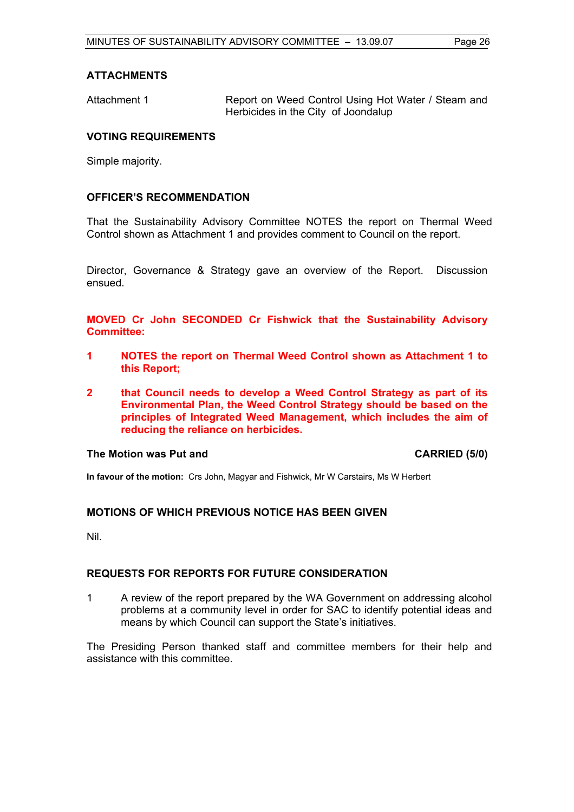# **ATTACHMENTS**

Attachment 1 **Report on Weed Control Using Hot Water / Steam and** Herbicides in the City of Joondalup

# **VOTING REQUIREMENTS**

Simple majority.

# **OFFICER'S RECOMMENDATION**

That the Sustainability Advisory Committee NOTES the report on Thermal Weed Control shown as Attachment 1 and provides comment to Council on the report.

Director, Governance & Strategy gave an overview of the Report. Discussion ensued.

**MOVED Cr John SECONDED Cr Fishwick that the Sustainability Advisory Committee:** 

- **1 NOTES the report on Thermal Weed Control shown as Attachment 1 to this Report;**
- **2 that Council needs to develop a Weed Control Strategy as part of its Environmental Plan, the Weed Control Strategy should be based on the principles of Integrated Weed Management, which includes the aim of reducing the reliance on herbicides.**

#### **The Motion was Put and CARRIED (5/0) CARRIED (5/0)**

**In favour of the motion:** Crs John, Magyar and Fishwick, Mr W Carstairs, Ms W Herbert

#### **MOTIONS OF WHICH PREVIOUS NOTICE HAS BEEN GIVEN**

Nil.

#### **REQUESTS FOR REPORTS FOR FUTURE CONSIDERATION**

1 A review of the report prepared by the WA Government on addressing alcohol problems at a community level in order for SAC to identify potential ideas and means by which Council can support the State's initiatives.

The Presiding Person thanked staff and committee members for their help and assistance with this committee.